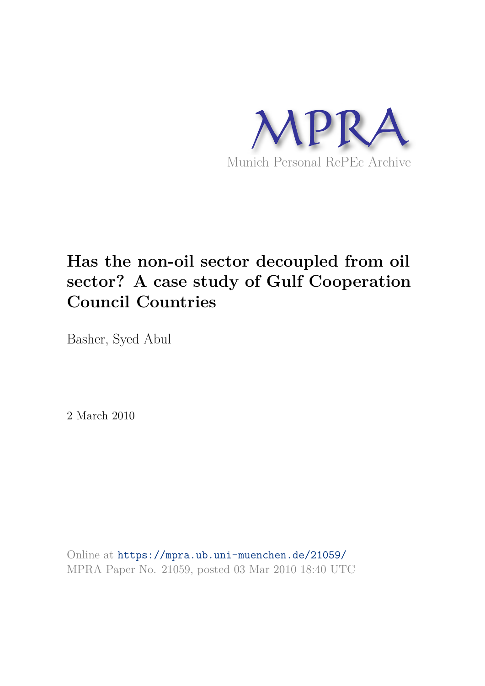

# **Has the non-oil sector decoupled from oil sector? A case study of Gulf Cooperation Council Countries**

Basher, Syed Abul

2 March 2010

Online at https://mpra.ub.uni-muenchen.de/21059/ MPRA Paper No. 21059, posted 03 Mar 2010 18:40 UTC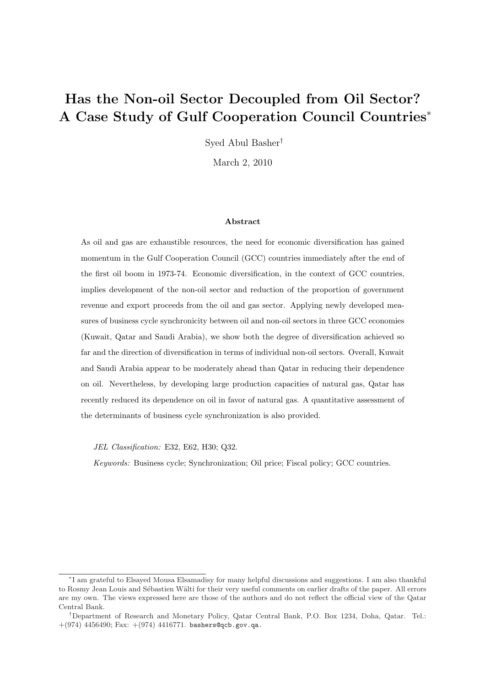# Has the Non-oil Sector Decoupled from Oil Sector? A Case Study of Gulf Cooperation Council Countries<sup>∗</sup>

Syed Abul Basher†

March 2, 2010

#### Abstract

As oil and gas are exhaustible resources, the need for economic diversification has gained momentum in the Gulf Cooperation Council (GCC) countries immediately after the end of the first oil boom in 1973-74. Economic diversification, in the context of GCC countries, implies development of the non-oil sector and reduction of the proportion of government revenue and export proceeds from the oil and gas sector. Applying newly developed measures of business cycle synchronicity between oil and non-oil sectors in three GCC economies (Kuwait, Qatar and Saudi Arabia), we show both the degree of diversification achieved so far and the direction of diversification in terms of individual non-oil sectors. Overall, Kuwait and Saudi Arabia appear to be moderately ahead than Qatar in reducing their dependence on oil. Nevertheless, by developing large production capacities of natural gas, Qatar has recently reduced its dependence on oil in favor of natural gas. A quantitative assessment of the determinants of business cycle synchronization is also provided.

JEL Classification: E32, E62, H30; Q32.

Keywords: Business cycle; Synchronization; Oil price; Fiscal policy; GCC countries.

<sup>∗</sup> I am grateful to Elsayed Mousa Elsamadisy for many helpful discussions and suggestions. I am also thankful to Rosmy Jean Louis and Sébastien Wälti for their very useful comments on earlier drafts of the paper. All errors are my own. The views expressed here are those of the authors and do not reflect the official view of the Qatar Central Bank.

<sup>†</sup>Department of Research and Monetary Policy, Qatar Central Bank, P.O. Box 1234, Doha, Qatar. Tel.:  $+(974)$  4456490; Fax:  $+(974)$  4416771. bashers@qcb.gov.qa.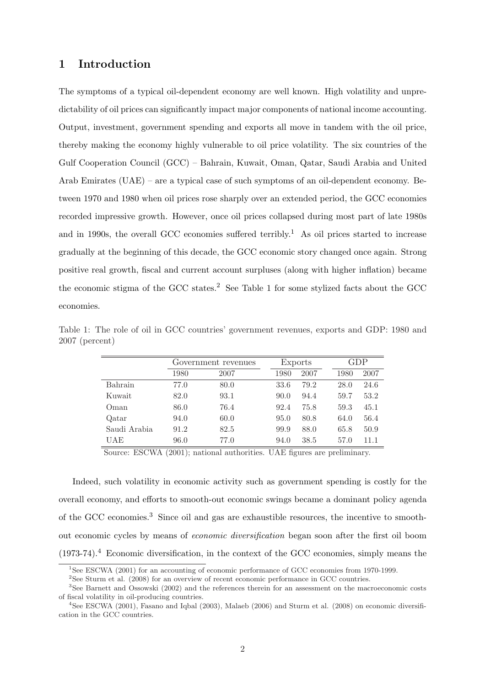#### 1 Introduction

The symptoms of a typical oil-dependent economy are well known. High volatility and unpredictability of oil prices can significantly impact major components of national income accounting. Output, investment, government spending and exports all move in tandem with the oil price, thereby making the economy highly vulnerable to oil price volatility. The six countries of the Gulf Cooperation Council (GCC) – Bahrain, Kuwait, Oman, Qatar, Saudi Arabia and United Arab Emirates (UAE) – are a typical case of such symptoms of an oil-dependent economy. Between 1970 and 1980 when oil prices rose sharply over an extended period, the GCC economies recorded impressive growth. However, once oil prices collapsed during most part of late 1980s and in 1990s, the overall GCC economies suffered terribly.<sup>1</sup> As oil prices started to increase gradually at the beginning of this decade, the GCC economic story changed once again. Strong positive real growth, fiscal and current account surpluses (along with higher inflation) became the economic stigma of the GCC states.<sup>2</sup> See Table 1 for some stylized facts about the GCC economies.

|              | Government revenues |      | Exports |      | GDP  |      |
|--------------|---------------------|------|---------|------|------|------|
|              | 1980                | 2007 | 1980    | 2007 | 1980 | 2007 |
| Bahrain      | 77.0                | 80.0 | 33.6    | 79.2 | 28.0 | 24.6 |
| Kuwait       | 82.0                | 93.1 | 90.0    | 94.4 | 59.7 | 53.2 |
| Oman         | 86.0                | 76.4 | 92.4    | 75.8 | 59.3 | 45.1 |
| Qatar        | 94.0                | 60.0 | 95.0    | 80.8 | 64.0 | 56.4 |
| Saudi Arabia | 91.2                | 82.5 | 99.9    | 88.0 | 65.8 | 50.9 |
| UAE          | 96.0                | 77.0 | 94.0    | 38.5 | 57.0 | 11.1 |

Table 1: The role of oil in GCC countries' government revenues, exports and GDP: 1980 and 2007 (percent)

Source: ESCWA (2001); national authorities. UAE figures are preliminary.

Indeed, such volatility in economic activity such as government spending is costly for the overall economy, and efforts to smooth-out economic swings became a dominant policy agenda of the GCC economies.<sup>3</sup> Since oil and gas are exhaustible resources, the incentive to smoothout economic cycles by means of economic diversification began soon after the first oil boom  $(1973-74).$ <sup>4</sup> Economic diversification, in the context of the GCC economies, simply means the

<sup>&</sup>lt;sup>1</sup>See ESCWA (2001) for an accounting of economic performance of GCC economies from 1970-1999.

<sup>&</sup>lt;sup>2</sup>See Sturm et al. (2008) for an overview of recent economic performance in GCC countries.

<sup>3</sup>See Barnett and Ossowski (2002) and the references therein for an assessment on the macroeconomic costs of fiscal volatility in oil-producing countries.

<sup>4</sup>See ESCWA (2001), Fasano and Iqbal (2003), Malaeb (2006) and Sturm et al. (2008) on economic diversification in the GCC countries.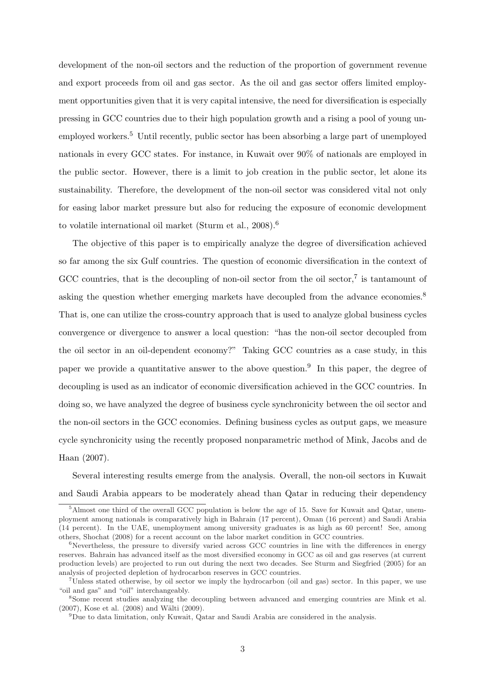development of the non-oil sectors and the reduction of the proportion of government revenue and export proceeds from oil and gas sector. As the oil and gas sector offers limited employment opportunities given that it is very capital intensive, the need for diversification is especially pressing in GCC countries due to their high population growth and a rising a pool of young unemployed workers.<sup>5</sup> Until recently, public sector has been absorbing a large part of unemployed nationals in every GCC states. For instance, in Kuwait over 90% of nationals are employed in the public sector. However, there is a limit to job creation in the public sector, let alone its sustainability. Therefore, the development of the non-oil sector was considered vital not only for easing labor market pressure but also for reducing the exposure of economic development to volatile international oil market (Sturm et al., 2008).<sup>6</sup>

The objective of this paper is to empirically analyze the degree of diversification achieved so far among the six Gulf countries. The question of economic diversification in the context of GCC countries, that is the decoupling of non-oil sector from the oil sector,<sup>7</sup> is tantamount of asking the question whether emerging markets have decoupled from the advance economies.<sup>8</sup> That is, one can utilize the cross-country approach that is used to analyze global business cycles convergence or divergence to answer a local question: "has the non-oil sector decoupled from the oil sector in an oil-dependent economy?" Taking GCC countries as a case study, in this paper we provide a quantitative answer to the above question.<sup>9</sup> In this paper, the degree of decoupling is used as an indicator of economic diversification achieved in the GCC countries. In doing so, we have analyzed the degree of business cycle synchronicity between the oil sector and the non-oil sectors in the GCC economies. Defining business cycles as output gaps, we measure cycle synchronicity using the recently proposed nonparametric method of Mink, Jacobs and de Haan (2007).

Several interesting results emerge from the analysis. Overall, the non-oil sectors in Kuwait and Saudi Arabia appears to be moderately ahead than Qatar in reducing their dependency

<sup>&</sup>lt;sup>5</sup>Almost one third of the overall GCC population is below the age of 15. Save for Kuwait and Qatar, unemployment among nationals is comparatively high in Bahrain (17 percent), Oman (16 percent) and Saudi Arabia (14 percent). In the UAE, unemployment among university graduates is as high as 60 percent! See, among others, Shochat (2008) for a recent account on the labor market condition in GCC countries.

 ${}^{6}$ Nevertheless, the pressure to diversify varied across GCC countries in line with the differences in energy reserves. Bahrain has advanced itself as the most diversified economy in GCC as oil and gas reserves (at current production levels) are projected to run out during the next two decades. See Sturm and Siegfried (2005) for an analysis of projected depletion of hydrocarbon reserves in GCC countries.

 $7$ Unless stated otherwise, by oil sector we imply the hydrocarbon (oil and gas) sector. In this paper, we use "oil and gas" and "oil" interchangeably.

<sup>8</sup>Some recent studies analyzing the decoupling between advanced and emerging countries are Mink et al.  $(2007)$ , Kose et al.  $(2008)$  and Wälti  $(2009)$ .

<sup>9</sup>Due to data limitation, only Kuwait, Qatar and Saudi Arabia are considered in the analysis.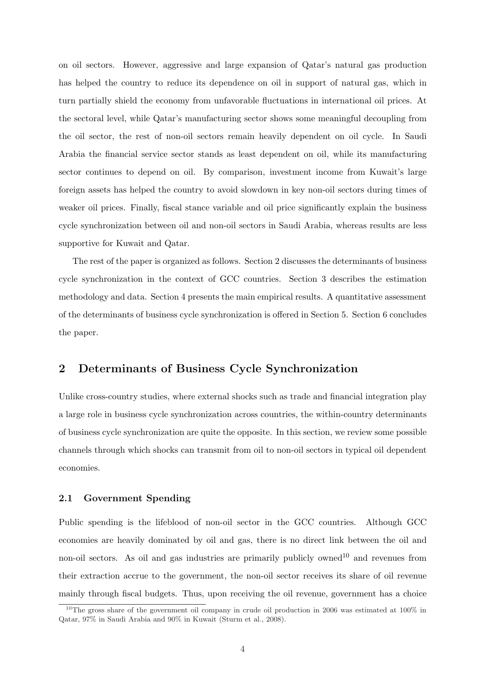on oil sectors. However, aggressive and large expansion of Qatar's natural gas production has helped the country to reduce its dependence on oil in support of natural gas, which in turn partially shield the economy from unfavorable fluctuations in international oil prices. At the sectoral level, while Qatar's manufacturing sector shows some meaningful decoupling from the oil sector, the rest of non-oil sectors remain heavily dependent on oil cycle. In Saudi Arabia the financial service sector stands as least dependent on oil, while its manufacturing sector continues to depend on oil. By comparison, investment income from Kuwait's large foreign assets has helped the country to avoid slowdown in key non-oil sectors during times of weaker oil prices. Finally, fiscal stance variable and oil price significantly explain the business cycle synchronization between oil and non-oil sectors in Saudi Arabia, whereas results are less supportive for Kuwait and Qatar.

The rest of the paper is organized as follows. Section 2 discusses the determinants of business cycle synchronization in the context of GCC countries. Section 3 describes the estimation methodology and data. Section 4 presents the main empirical results. A quantitative assessment of the determinants of business cycle synchronization is offered in Section 5. Section 6 concludes the paper.

## 2 Determinants of Business Cycle Synchronization

Unlike cross-country studies, where external shocks such as trade and financial integration play a large role in business cycle synchronization across countries, the within-country determinants of business cycle synchronization are quite the opposite. In this section, we review some possible channels through which shocks can transmit from oil to non-oil sectors in typical oil dependent economies.

#### 2.1 Government Spending

Public spending is the lifeblood of non-oil sector in the GCC countries. Although GCC economies are heavily dominated by oil and gas, there is no direct link between the oil and non-oil sectors. As oil and gas industries are primarily publicly owned<sup>10</sup> and revenues from their extraction accrue to the government, the non-oil sector receives its share of oil revenue mainly through fiscal budgets. Thus, upon receiving the oil revenue, government has a choice

<sup>&</sup>lt;sup>10</sup>The gross share of the government oil company in crude oil production in 2006 was estimated at 100 $\%$  in Qatar, 97% in Saudi Arabia and 90% in Kuwait (Sturm et al., 2008).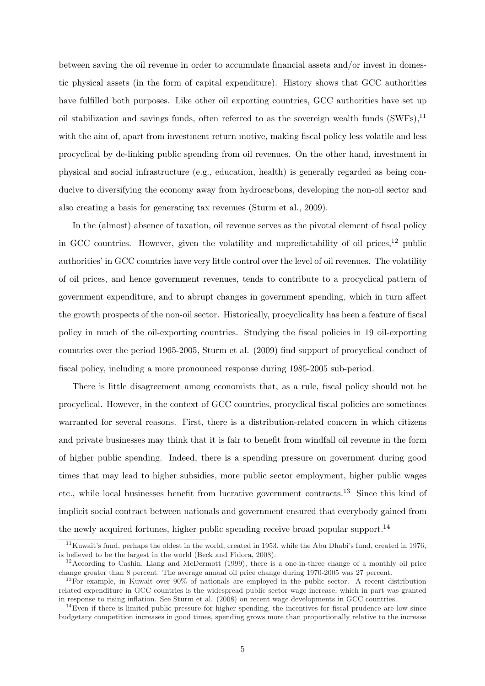between saving the oil revenue in order to accumulate financial assets and/or invest in domestic physical assets (in the form of capital expenditure). History shows that GCC authorities have fulfilled both purposes. Like other oil exporting countries, GCC authorities have set up oil stabilization and savings funds, often referred to as the sovereign wealth funds  $(SWFs)$ ,<sup>11</sup> with the aim of, apart from investment return motive, making fiscal policy less volatile and less procyclical by de-linking public spending from oil revenues. On the other hand, investment in physical and social infrastructure (e.g., education, health) is generally regarded as being conducive to diversifying the economy away from hydrocarbons, developing the non-oil sector and also creating a basis for generating tax revenues (Sturm et al., 2009).

In the (almost) absence of taxation, oil revenue serves as the pivotal element of fiscal policy in GCC countries. However, given the volatility and unpredictability of oil prices,  $12$  public authorities' in GCC countries have very little control over the level of oil revenues. The volatility of oil prices, and hence government revenues, tends to contribute to a procyclical pattern of government expenditure, and to abrupt changes in government spending, which in turn affect the growth prospects of the non-oil sector. Historically, procyclicality has been a feature of fiscal policy in much of the oil-exporting countries. Studying the fiscal policies in 19 oil-exporting countries over the period 1965-2005, Sturm et al. (2009) find support of procyclical conduct of fiscal policy, including a more pronounced response during 1985-2005 sub-period.

There is little disagreement among economists that, as a rule, fiscal policy should not be procyclical. However, in the context of GCC countries, procyclical fiscal policies are sometimes warranted for several reasons. First, there is a distribution-related concern in which citizens and private businesses may think that it is fair to benefit from windfall oil revenue in the form of higher public spending. Indeed, there is a spending pressure on government during good times that may lead to higher subsidies, more public sector employment, higher public wages etc., while local businesses benefit from lucrative government contracts.<sup>13</sup> Since this kind of implicit social contract between nationals and government ensured that everybody gained from the newly acquired fortunes, higher public spending receive broad popular support.<sup>14</sup>

 $11$ Kuwait's fund, perhaps the oldest in the world, created in 1953, while the Abu Dhabi's fund, created in 1976, is believed to be the largest in the world (Beck and Fidora, 2008).

 $12$ According to Cashin, Liang and McDermott (1999), there is a one-in-three change of a monthly oil price change greater than 8 percent. The average annual oil price change during 1970-2005 was 27 percent.

<sup>13</sup>For example, in Kuwait over 90% of nationals are employed in the public sector. A recent distribution related expenditure in GCC countries is the widespread public sector wage increase, which in part was granted in response to rising inflation. See Sturm et al. (2008) on recent wage developments in GCC countries.

 $14$ Even if there is limited public pressure for higher spending, the incentives for fiscal prudence are low since budgetary competition increases in good times, spending grows more than proportionally relative to the increase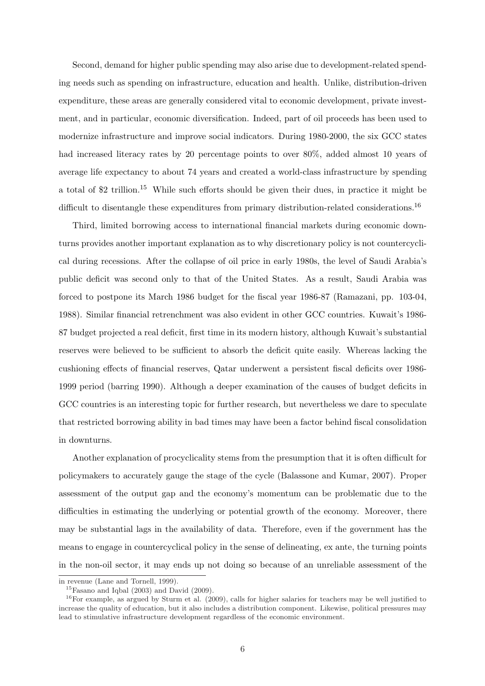Second, demand for higher public spending may also arise due to development-related spending needs such as spending on infrastructure, education and health. Unlike, distribution-driven expenditure, these areas are generally considered vital to economic development, private investment, and in particular, economic diversification. Indeed, part of oil proceeds has been used to modernize infrastructure and improve social indicators. During 1980-2000, the six GCC states had increased literacy rates by 20 percentage points to over 80%, added almost 10 years of average life expectancy to about 74 years and created a world-class infrastructure by spending a total of \$2 trillion.<sup>15</sup> While such efforts should be given their dues, in practice it might be difficult to disentangle these expenditures from primary distribution-related considerations.<sup>16</sup>

Third, limited borrowing access to international financial markets during economic downturns provides another important explanation as to why discretionary policy is not countercyclical during recessions. After the collapse of oil price in early 1980s, the level of Saudi Arabia's public deficit was second only to that of the United States. As a result, Saudi Arabia was forced to postpone its March 1986 budget for the fiscal year 1986-87 (Ramazani, pp. 103-04, 1988). Similar financial retrenchment was also evident in other GCC countries. Kuwait's 1986- 87 budget projected a real deficit, first time in its modern history, although Kuwait's substantial reserves were believed to be sufficient to absorb the deficit quite easily. Whereas lacking the cushioning effects of financial reserves, Qatar underwent a persistent fiscal deficits over 1986- 1999 period (barring 1990). Although a deeper examination of the causes of budget deficits in GCC countries is an interesting topic for further research, but nevertheless we dare to speculate that restricted borrowing ability in bad times may have been a factor behind fiscal consolidation in downturns.

Another explanation of procyclicality stems from the presumption that it is often difficult for policymakers to accurately gauge the stage of the cycle (Balassone and Kumar, 2007). Proper assessment of the output gap and the economy's momentum can be problematic due to the difficulties in estimating the underlying or potential growth of the economy. Moreover, there may be substantial lags in the availability of data. Therefore, even if the government has the means to engage in countercyclical policy in the sense of delineating, ex ante, the turning points in the non-oil sector, it may ends up not doing so because of an unreliable assessment of the

in revenue (Lane and Tornell, 1999).

 $15$ Fasano and Iqbal (2003) and David (2009).

 $16$ For example, as argued by Sturm et al. (2009), calls for higher salaries for teachers may be well justified to increase the quality of education, but it also includes a distribution component. Likewise, political pressures may lead to stimulative infrastructure development regardless of the economic environment.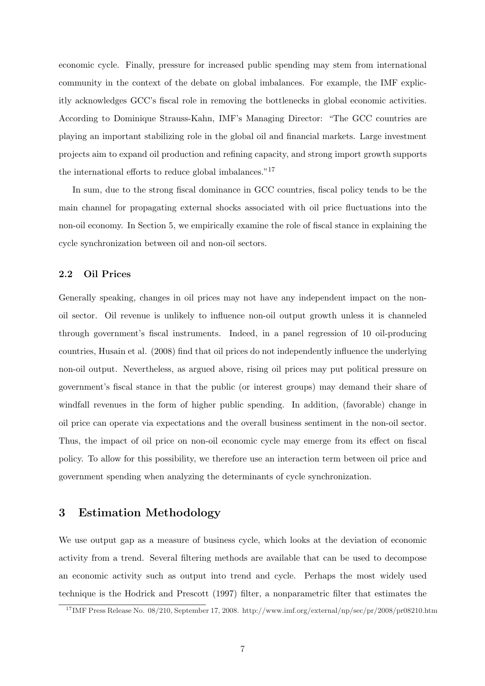economic cycle. Finally, pressure for increased public spending may stem from international community in the context of the debate on global imbalances. For example, the IMF explicitly acknowledges GCC's fiscal role in removing the bottlenecks in global economic activities. According to Dominique Strauss-Kahn, IMF's Managing Director: "The GCC countries are playing an important stabilizing role in the global oil and financial markets. Large investment projects aim to expand oil production and refining capacity, and strong import growth supports the international efforts to reduce global imbalances."<sup>17</sup>

In sum, due to the strong fiscal dominance in GCC countries, fiscal policy tends to be the main channel for propagating external shocks associated with oil price fluctuations into the non-oil economy. In Section 5, we empirically examine the role of fiscal stance in explaining the cycle synchronization between oil and non-oil sectors.

#### 2.2 Oil Prices

Generally speaking, changes in oil prices may not have any independent impact on the nonoil sector. Oil revenue is unlikely to influence non-oil output growth unless it is channeled through government's fiscal instruments. Indeed, in a panel regression of 10 oil-producing countries, Husain et al. (2008) find that oil prices do not independently influence the underlying non-oil output. Nevertheless, as argued above, rising oil prices may put political pressure on government's fiscal stance in that the public (or interest groups) may demand their share of windfall revenues in the form of higher public spending. In addition, (favorable) change in oil price can operate via expectations and the overall business sentiment in the non-oil sector. Thus, the impact of oil price on non-oil economic cycle may emerge from its effect on fiscal policy. To allow for this possibility, we therefore use an interaction term between oil price and government spending when analyzing the determinants of cycle synchronization.

# 3 Estimation Methodology

We use output gap as a measure of business cycle, which looks at the deviation of economic activity from a trend. Several filtering methods are available that can be used to decompose an economic activity such as output into trend and cycle. Perhaps the most widely used technique is the Hodrick and Prescott (1997) filter, a nonparametric filter that estimates the

<sup>17</sup>IMF Press Release No. 08/210, September 17, 2008. http://www.imf.org/external/np/sec/pr/2008/pr08210.htm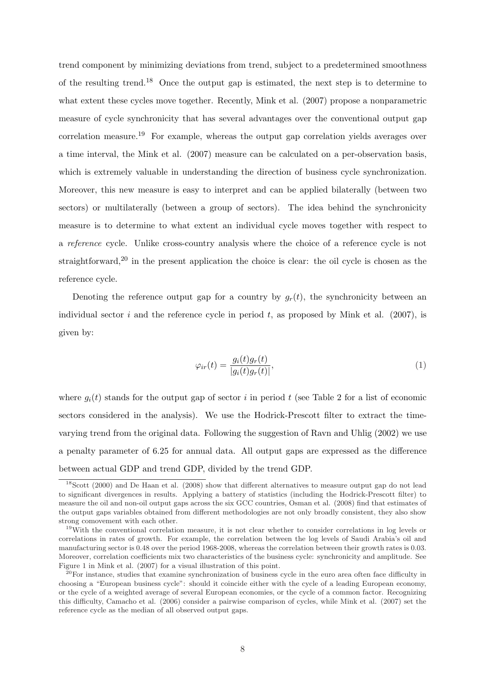trend component by minimizing deviations from trend, subject to a predetermined smoothness of the resulting trend.<sup>18</sup> Once the output gap is estimated, the next step is to determine to what extent these cycles move together. Recently, Mink et al. (2007) propose a nonparametric measure of cycle synchronicity that has several advantages over the conventional output gap correlation measure.<sup>19</sup> For example, whereas the output gap correlation yields averages over a time interval, the Mink et al. (2007) measure can be calculated on a per-observation basis, which is extremely valuable in understanding the direction of business cycle synchronization. Moreover, this new measure is easy to interpret and can be applied bilaterally (between two sectors) or multilaterally (between a group of sectors). The idea behind the synchronicity measure is to determine to what extent an individual cycle moves together with respect to a reference cycle. Unlike cross-country analysis where the choice of a reference cycle is not straightforward,<sup>20</sup> in the present application the choice is clear: the oil cycle is chosen as the reference cycle.

Denoting the reference output gap for a country by  $g_r(t)$ , the synchronicity between an individual sector i and the reference cycle in period t, as proposed by Mink et al.  $(2007)$ , is given by:

$$
\varphi_{ir}(t) = \frac{g_i(t)g_r(t)}{|g_i(t)g_r(t)|},\tag{1}
$$

where  $q_i(t)$  stands for the output gap of sector i in period t (see Table 2 for a list of economic sectors considered in the analysis). We use the Hodrick-Prescott filter to extract the timevarying trend from the original data. Following the suggestion of Ravn and Uhlig (2002) we use a penalty parameter of 6.25 for annual data. All output gaps are expressed as the difference between actual GDP and trend GDP, divided by the trend GDP.

<sup>&</sup>lt;sup>18</sup>Scott (2000) and De Haan et al. (2008) show that different alternatives to measure output gap do not lead to significant divergences in results. Applying a battery of statistics (including the Hodrick-Prescott filter) to measure the oil and non-oil output gaps across the six GCC countries, Osman et al. (2008) find that estimates of the output gaps variables obtained from different methodologies are not only broadly consistent, they also show strong comovement with each other.

<sup>19</sup>With the conventional correlation measure, it is not clear whether to consider correlations in log levels or correlations in rates of growth. For example, the correlation between the log levels of Saudi Arabia's oil and manufacturing sector is 0.48 over the period 1968-2008, whereas the correlation between their growth rates is 0.03. Moreover, correlation coefficients mix two characteristics of the business cycle: synchronicity and amplitude. See Figure 1 in Mink et al. (2007) for a visual illustration of this point.

 $20$ For instance, studies that examine synchronization of business cycle in the euro area often face difficulty in choosing a "European business cycle": should it coincide either with the cycle of a leading European economy, or the cycle of a weighted average of several European economies, or the cycle of a common factor. Recognizing this difficulty, Camacho et al. (2006) consider a pairwise comparison of cycles, while Mink et al. (2007) set the reference cycle as the median of all observed output gaps.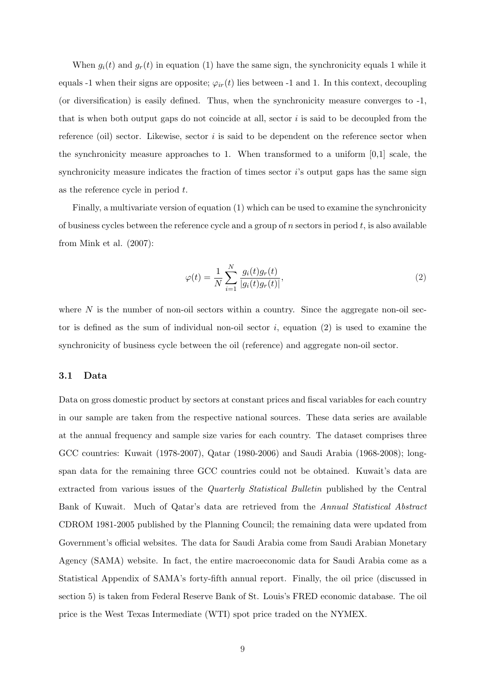When  $g_i(t)$  and  $g_r(t)$  in equation (1) have the same sign, the synchronicity equals 1 while it equals -1 when their signs are opposite;  $\varphi_{ir}(t)$  lies between -1 and 1. In this context, decoupling (or diversification) is easily defined. Thus, when the synchronicity measure converges to -1, that is when both output gaps do not coincide at all, sector  $i$  is said to be decoupled from the reference (oil) sector. Likewise, sector  $i$  is said to be dependent on the reference sector when the synchronicity measure approaches to 1. When transformed to a uniform [0,1] scale, the synchronicity measure indicates the fraction of times sector i's output gaps has the same sign as the reference cycle in period t.

Finally, a multivariate version of equation (1) which can be used to examine the synchronicity of business cycles between the reference cycle and a group of  $n$  sectors in period  $t$ , is also available from Mink et al. (2007):

$$
\varphi(t) = \frac{1}{N} \sum_{i=1}^{N} \frac{g_i(t)g_r(t)}{|g_i(t)g_r(t)|},
$$
\n(2)

where  $N$  is the number of non-oil sectors within a country. Since the aggregate non-oil sector is defined as the sum of individual non-oil sector  $i$ , equation (2) is used to examine the synchronicity of business cycle between the oil (reference) and aggregate non-oil sector.

#### 3.1 Data

Data on gross domestic product by sectors at constant prices and fiscal variables for each country in our sample are taken from the respective national sources. These data series are available at the annual frequency and sample size varies for each country. The dataset comprises three GCC countries: Kuwait (1978-2007), Qatar (1980-2006) and Saudi Arabia (1968-2008); longspan data for the remaining three GCC countries could not be obtained. Kuwait's data are extracted from various issues of the Quarterly Statistical Bulletin published by the Central Bank of Kuwait. Much of Qatar's data are retrieved from the Annual Statistical Abstract CDROM 1981-2005 published by the Planning Council; the remaining data were updated from Government's official websites. The data for Saudi Arabia come from Saudi Arabian Monetary Agency (SAMA) website. In fact, the entire macroeconomic data for Saudi Arabia come as a Statistical Appendix of SAMA's forty-fifth annual report. Finally, the oil price (discussed in section 5) is taken from Federal Reserve Bank of St. Louis's FRED economic database. The oil price is the West Texas Intermediate (WTI) spot price traded on the NYMEX.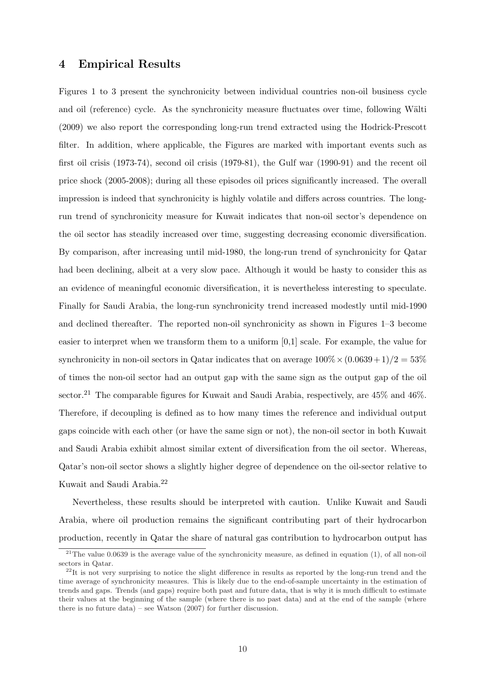#### 4 Empirical Results

Figures 1 to 3 present the synchronicity between individual countries non-oil business cycle and oil (reference) cycle. As the synchronicity measure fluctuates over time, following Wälti (2009) we also report the corresponding long-run trend extracted using the Hodrick-Prescott filter. In addition, where applicable, the Figures are marked with important events such as first oil crisis (1973-74), second oil crisis (1979-81), the Gulf war (1990-91) and the recent oil price shock (2005-2008); during all these episodes oil prices significantly increased. The overall impression is indeed that synchronicity is highly volatile and differs across countries. The longrun trend of synchronicity measure for Kuwait indicates that non-oil sector's dependence on the oil sector has steadily increased over time, suggesting decreasing economic diversification. By comparison, after increasing until mid-1980, the long-run trend of synchronicity for Qatar had been declining, albeit at a very slow pace. Although it would be hasty to consider this as an evidence of meaningful economic diversification, it is nevertheless interesting to speculate. Finally for Saudi Arabia, the long-run synchronicity trend increased modestly until mid-1990 and declined thereafter. The reported non-oil synchronicity as shown in Figures 1–3 become easier to interpret when we transform them to a uniform [0,1] scale. For example, the value for synchronicity in non-oil sectors in Qatar indicates that on average  $100\% \times (0.0639+1)/2 = 53\%$ of times the non-oil sector had an output gap with the same sign as the output gap of the oil sector.<sup>21</sup> The comparable figures for Kuwait and Saudi Arabia, respectively, are  $45\%$  and  $46\%$ . Therefore, if decoupling is defined as to how many times the reference and individual output gaps coincide with each other (or have the same sign or not), the non-oil sector in both Kuwait and Saudi Arabia exhibit almost similar extent of diversification from the oil sector. Whereas, Qatar's non-oil sector shows a slightly higher degree of dependence on the oil-sector relative to Kuwait and Saudi Arabia.<sup>22</sup>

Nevertheless, these results should be interpreted with caution. Unlike Kuwait and Saudi Arabia, where oil production remains the significant contributing part of their hydrocarbon production, recently in Qatar the share of natural gas contribution to hydrocarbon output has

<sup>&</sup>lt;sup>21</sup>The value 0.0639 is the average value of the synchronicity measure, as defined in equation (1), of all non-oil sectors in Qatar.

 $^{22}$ It is not very surprising to notice the slight difference in results as reported by the long-run trend and the time average of synchronicity measures. This is likely due to the end-of-sample uncertainty in the estimation of trends and gaps. Trends (and gaps) require both past and future data, that is why it is much difficult to estimate their values at the beginning of the sample (where there is no past data) and at the end of the sample (where there is no future data) – see Watson (2007) for further discussion.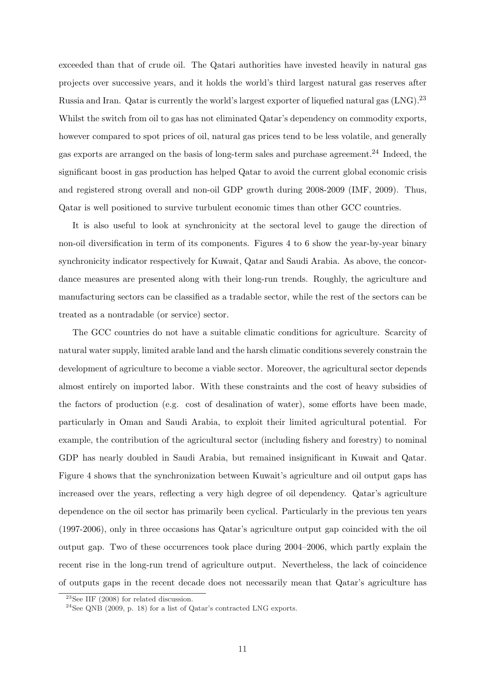exceeded than that of crude oil. The Qatari authorities have invested heavily in natural gas projects over successive years, and it holds the world's third largest natural gas reserves after Russia and Iran. Qatar is currently the world's largest exporter of liquefied natural gas (LNG).<sup>23</sup> Whilst the switch from oil to gas has not eliminated Qatar's dependency on commodity exports, however compared to spot prices of oil, natural gas prices tend to be less volatile, and generally gas exports are arranged on the basis of long-term sales and purchase agreement.<sup>24</sup> Indeed, the significant boost in gas production has helped Qatar to avoid the current global economic crisis and registered strong overall and non-oil GDP growth during 2008-2009 (IMF, 2009). Thus, Qatar is well positioned to survive turbulent economic times than other GCC countries.

It is also useful to look at synchronicity at the sectoral level to gauge the direction of non-oil diversification in term of its components. Figures 4 to 6 show the year-by-year binary synchronicity indicator respectively for Kuwait, Qatar and Saudi Arabia. As above, the concordance measures are presented along with their long-run trends. Roughly, the agriculture and manufacturing sectors can be classified as a tradable sector, while the rest of the sectors can be treated as a nontradable (or service) sector.

The GCC countries do not have a suitable climatic conditions for agriculture. Scarcity of natural water supply, limited arable land and the harsh climatic conditions severely constrain the development of agriculture to become a viable sector. Moreover, the agricultural sector depends almost entirely on imported labor. With these constraints and the cost of heavy subsidies of the factors of production (e.g. cost of desalination of water), some efforts have been made, particularly in Oman and Saudi Arabia, to exploit their limited agricultural potential. For example, the contribution of the agricultural sector (including fishery and forestry) to nominal GDP has nearly doubled in Saudi Arabia, but remained insignificant in Kuwait and Qatar. Figure 4 shows that the synchronization between Kuwait's agriculture and oil output gaps has increased over the years, reflecting a very high degree of oil dependency. Qatar's agriculture dependence on the oil sector has primarily been cyclical. Particularly in the previous ten years (1997-2006), only in three occasions has Qatar's agriculture output gap coincided with the oil output gap. Two of these occurrences took place during 2004–2006, which partly explain the recent rise in the long-run trend of agriculture output. Nevertheless, the lack of coincidence of outputs gaps in the recent decade does not necessarily mean that Qatar's agriculture has

 $23$ See IIF (2008) for related discussion.

<sup>&</sup>lt;sup>24</sup>See QNB (2009, p. 18) for a list of Qatar's contracted LNG exports.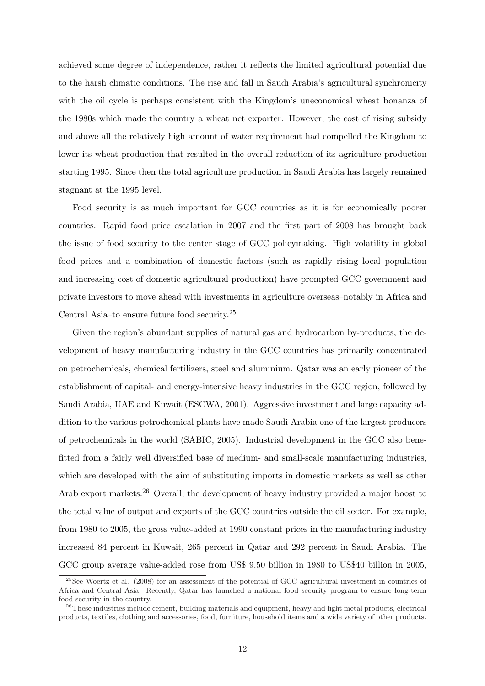achieved some degree of independence, rather it reflects the limited agricultural potential due to the harsh climatic conditions. The rise and fall in Saudi Arabia's agricultural synchronicity with the oil cycle is perhaps consistent with the Kingdom's uneconomical wheat bonanza of the 1980s which made the country a wheat net exporter. However, the cost of rising subsidy and above all the relatively high amount of water requirement had compelled the Kingdom to lower its wheat production that resulted in the overall reduction of its agriculture production starting 1995. Since then the total agriculture production in Saudi Arabia has largely remained stagnant at the 1995 level.

Food security is as much important for GCC countries as it is for economically poorer countries. Rapid food price escalation in 2007 and the first part of 2008 has brought back the issue of food security to the center stage of GCC policymaking. High volatility in global food prices and a combination of domestic factors (such as rapidly rising local population and increasing cost of domestic agricultural production) have prompted GCC government and private investors to move ahead with investments in agriculture overseas–notably in Africa and Central Asia–to ensure future food security.<sup>25</sup>

Given the region's abundant supplies of natural gas and hydrocarbon by-products, the development of heavy manufacturing industry in the GCC countries has primarily concentrated on petrochemicals, chemical fertilizers, steel and aluminium. Qatar was an early pioneer of the establishment of capital- and energy-intensive heavy industries in the GCC region, followed by Saudi Arabia, UAE and Kuwait (ESCWA, 2001). Aggressive investment and large capacity addition to the various petrochemical plants have made Saudi Arabia one of the largest producers of petrochemicals in the world (SABIC, 2005). Industrial development in the GCC also benefitted from a fairly well diversified base of medium- and small-scale manufacturing industries, which are developed with the aim of substituting imports in domestic markets as well as other Arab export markets.<sup>26</sup> Overall, the development of heavy industry provided a major boost to the total value of output and exports of the GCC countries outside the oil sector. For example, from 1980 to 2005, the gross value-added at 1990 constant prices in the manufacturing industry increased 84 percent in Kuwait, 265 percent in Qatar and 292 percent in Saudi Arabia. The GCC group average value-added rose from US\$ 9.50 billion in 1980 to US\$40 billion in 2005,

 $^{25}$ See Woertz et al. (2008) for an assessment of the potential of GCC agricultural investment in countries of Africa and Central Asia. Recently, Qatar has launched a national food security program to ensure long-term food security in the country.

 $^{26}$ These industries include cement, building materials and equipment, heavy and light metal products, electrical products, textiles, clothing and accessories, food, furniture, household items and a wide variety of other products.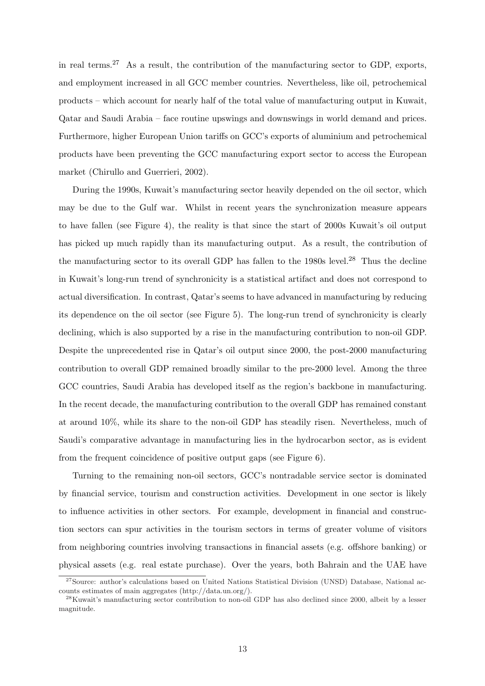in real terms.<sup>27</sup> As a result, the contribution of the manufacturing sector to GDP, exports, and employment increased in all GCC member countries. Nevertheless, like oil, petrochemical products – which account for nearly half of the total value of manufacturing output in Kuwait, Qatar and Saudi Arabia – face routine upswings and downswings in world demand and prices. Furthermore, higher European Union tariffs on GCC's exports of aluminium and petrochemical products have been preventing the GCC manufacturing export sector to access the European market (Chirullo and Guerrieri, 2002).

During the 1990s, Kuwait's manufacturing sector heavily depended on the oil sector, which may be due to the Gulf war. Whilst in recent years the synchronization measure appears to have fallen (see Figure 4), the reality is that since the start of 2000s Kuwait's oil output has picked up much rapidly than its manufacturing output. As a result, the contribution of the manufacturing sector to its overall GDP has fallen to the  $1980s$  level.<sup>28</sup> Thus the decline in Kuwait's long-run trend of synchronicity is a statistical artifact and does not correspond to actual diversification. In contrast, Qatar's seems to have advanced in manufacturing by reducing its dependence on the oil sector (see Figure 5). The long-run trend of synchronicity is clearly declining, which is also supported by a rise in the manufacturing contribution to non-oil GDP. Despite the unprecedented rise in Qatar's oil output since 2000, the post-2000 manufacturing contribution to overall GDP remained broadly similar to the pre-2000 level. Among the three GCC countries, Saudi Arabia has developed itself as the region's backbone in manufacturing. In the recent decade, the manufacturing contribution to the overall GDP has remained constant at around 10%, while its share to the non-oil GDP has steadily risen. Nevertheless, much of Saudi's comparative advantage in manufacturing lies in the hydrocarbon sector, as is evident from the frequent coincidence of positive output gaps (see Figure 6).

Turning to the remaining non-oil sectors, GCC's nontradable service sector is dominated by financial service, tourism and construction activities. Development in one sector is likely to influence activities in other sectors. For example, development in financial and construction sectors can spur activities in the tourism sectors in terms of greater volume of visitors from neighboring countries involving transactions in financial assets (e.g. offshore banking) or physical assets (e.g. real estate purchase). Over the years, both Bahrain and the UAE have

<sup>&</sup>lt;sup>27</sup>Source: author's calculations based on United Nations Statistical Division (UNSD) Database, National accounts estimates of main aggregates (http://data.un.org/).

<sup>&</sup>lt;sup>28</sup>Kuwait's manufacturing sector contribution to non-oil GDP has also declined since 2000, albeit by a lesser magnitude.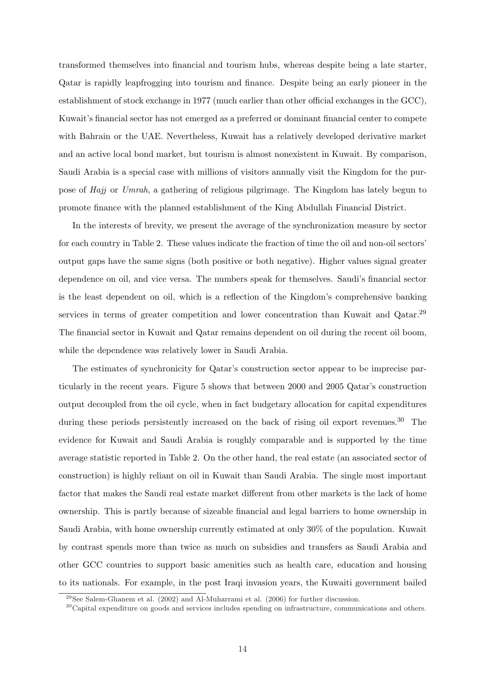transformed themselves into financial and tourism hubs, whereas despite being a late starter, Qatar is rapidly leapfrogging into tourism and finance. Despite being an early pioneer in the establishment of stock exchange in 1977 (much earlier than other official exchanges in the GCC), Kuwait's financial sector has not emerged as a preferred or dominant financial center to compete with Bahrain or the UAE. Nevertheless, Kuwait has a relatively developed derivative market and an active local bond market, but tourism is almost nonexistent in Kuwait. By comparison, Saudi Arabia is a special case with millions of visitors annually visit the Kingdom for the purpose of Hajj or Umrah, a gathering of religious pilgrimage. The Kingdom has lately begun to promote finance with the planned establishment of the King Abdullah Financial District.

In the interests of brevity, we present the average of the synchronization measure by sector for each country in Table 2. These values indicate the fraction of time the oil and non-oil sectors' output gaps have the same signs (both positive or both negative). Higher values signal greater dependence on oil, and vice versa. The numbers speak for themselves. Saudi's financial sector is the least dependent on oil, which is a reflection of the Kingdom's comprehensive banking services in terms of greater competition and lower concentration than Kuwait and Qatar.<sup>29</sup> The financial sector in Kuwait and Qatar remains dependent on oil during the recent oil boom, while the dependence was relatively lower in Saudi Arabia.

The estimates of synchronicity for Qatar's construction sector appear to be imprecise particularly in the recent years. Figure 5 shows that between 2000 and 2005 Qatar's construction output decoupled from the oil cycle, when in fact budgetary allocation for capital expenditures during these periods persistently increased on the back of rising oil export revenues.<sup>30</sup> The evidence for Kuwait and Saudi Arabia is roughly comparable and is supported by the time average statistic reported in Table 2. On the other hand, the real estate (an associated sector of construction) is highly reliant on oil in Kuwait than Saudi Arabia. The single most important factor that makes the Saudi real estate market different from other markets is the lack of home ownership. This is partly because of sizeable financial and legal barriers to home ownership in Saudi Arabia, with home ownership currently estimated at only 30% of the population. Kuwait by contrast spends more than twice as much on subsidies and transfers as Saudi Arabia and other GCC countries to support basic amenities such as health care, education and housing to its nationals. For example, in the post Iraqi invasion years, the Kuwaiti government bailed

 $^{29}$ See Salem-Ghanem et al. (2002) and Al-Muharrami et al. (2006) for further discussion.

 $30^3$ Capital expenditure on goods and services includes spending on infrastructure, communications and others.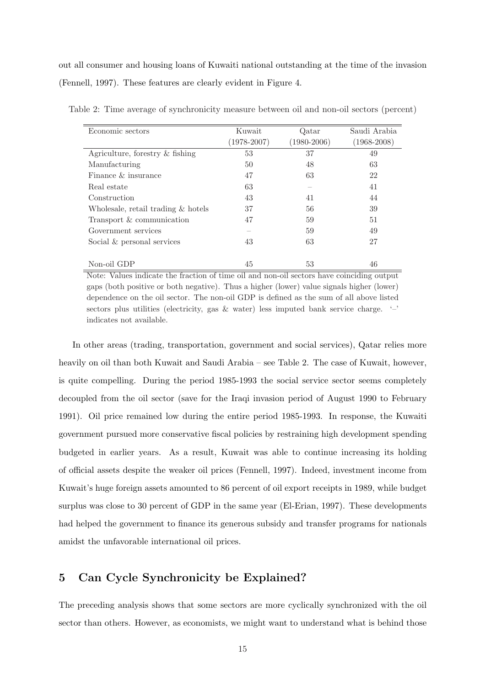out all consumer and housing loans of Kuwaiti national outstanding at the time of the invasion (Fennell, 1997). These features are clearly evident in Figure 4.

| Economic sectors                   | Kuwait          | Qatar           | Saudi Arabia    |  |
|------------------------------------|-----------------|-----------------|-----------------|--|
|                                    | $(1978 - 2007)$ | $(1980 - 2006)$ | $(1968 - 2008)$ |  |
| Agriculture, forestry $\&$ fishing | 53              | 37              | 49              |  |
| Manufacturing                      | 50              | 48              | 63              |  |
| Finance $\&$ insurance             | 47              | 63              | 22              |  |
| Real estate                        | 63              |                 | 41              |  |
| Construction                       | 43              | 41              | 44              |  |
| Wholesale, retail trading & hotels | 37              | 56              | 39              |  |
| Transport & communication          | 47              | 59              | 51              |  |
| Government services                |                 | 59              | 49              |  |
| Social & personal services         | 43              | 63              | 27              |  |
|                                    |                 |                 |                 |  |
| Non-oil GDP                        | 45              | 53              | 46              |  |

Table 2: Time average of synchronicity measure between oil and non-oil sectors (percent)

Note: Values indicate the fraction of time oil and non-oil sectors have coinciding output gaps (both positive or both negative). Thus a higher (lower) value signals higher (lower) dependence on the oil sector. The non-oil GDP is defined as the sum of all above listed sectors plus utilities (electricity, gas  $\&$  water) less imputed bank service charge.  $\left( - \right)$ indicates not available.

In other areas (trading, transportation, government and social services), Qatar relies more heavily on oil than both Kuwait and Saudi Arabia – see Table 2. The case of Kuwait, however, is quite compelling. During the period 1985-1993 the social service sector seems completely decoupled from the oil sector (save for the Iraqi invasion period of August 1990 to February 1991). Oil price remained low during the entire period 1985-1993. In response, the Kuwaiti government pursued more conservative fiscal policies by restraining high development spending budgeted in earlier years. As a result, Kuwait was able to continue increasing its holding of official assets despite the weaker oil prices (Fennell, 1997). Indeed, investment income from Kuwait's huge foreign assets amounted to 86 percent of oil export receipts in 1989, while budget surplus was close to 30 percent of GDP in the same year (El-Erian, 1997). These developments had helped the government to finance its generous subsidy and transfer programs for nationals amidst the unfavorable international oil prices.

# 5 Can Cycle Synchronicity be Explained?

The preceding analysis shows that some sectors are more cyclically synchronized with the oil sector than others. However, as economists, we might want to understand what is behind those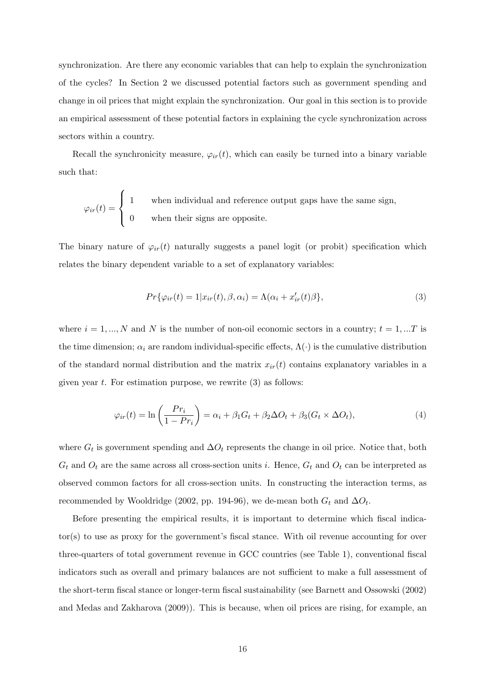synchronization. Are there any economic variables that can help to explain the synchronization of the cycles? In Section 2 we discussed potential factors such as government spending and change in oil prices that might explain the synchronization. Our goal in this section is to provide an empirical assessment of these potential factors in explaining the cycle synchronization across sectors within a country.

Recall the synchronicity measure,  $\varphi_{ir}(t)$ , which can easily be turned into a binary variable such that:

$$
\varphi_{ir}(t) = \begin{cases} 1 & \text{when individual and reference output gaps have the same sign,} \\ 0 & \text{when their signs are opposite.} \end{cases}
$$

The binary nature of  $\varphi_{ir}(t)$  naturally suggests a panel logit (or probit) specification which relates the binary dependent variable to a set of explanatory variables:

$$
Pr\{\varphi_{ir}(t) = 1 | x_{ir}(t), \beta, \alpha_i\} = \Lambda(\alpha_i + x'_{ir}(t)\beta\},\tag{3}
$$

where  $i = 1, ..., N$  and N is the number of non-oil economic sectors in a country;  $t = 1, ...T$  is the time dimension;  $\alpha_i$  are random individual-specific effects,  $\Lambda(\cdot)$  is the cumulative distribution of the standard normal distribution and the matrix  $x_{ir}(t)$  contains explanatory variables in a given year  $t$ . For estimation purpose, we rewrite  $(3)$  as follows:

$$
\varphi_{ir}(t) = \ln\left(\frac{Pr_i}{1 - Pr_i}\right) = \alpha_i + \beta_1 G_t + \beta_2 \Delta O_t + \beta_3 (G_t \times \Delta O_t),\tag{4}
$$

where  $G_t$  is government spending and  $\Delta O_t$  represents the change in oil price. Notice that, both  $G_t$  and  $O_t$  are the same across all cross-section units i. Hence,  $G_t$  and  $O_t$  can be interpreted as observed common factors for all cross-section units. In constructing the interaction terms, as recommended by Wooldridge (2002, pp. 194-96), we de-mean both  $G_t$  and  $\Delta O_t$ .

Before presenting the empirical results, it is important to determine which fiscal indicator(s) to use as proxy for the government's fiscal stance. With oil revenue accounting for over three-quarters of total government revenue in GCC countries (see Table 1), conventional fiscal indicators such as overall and primary balances are not sufficient to make a full assessment of the short-term fiscal stance or longer-term fiscal sustainability (see Barnett and Ossowski (2002) and Medas and Zakharova (2009)). This is because, when oil prices are rising, for example, an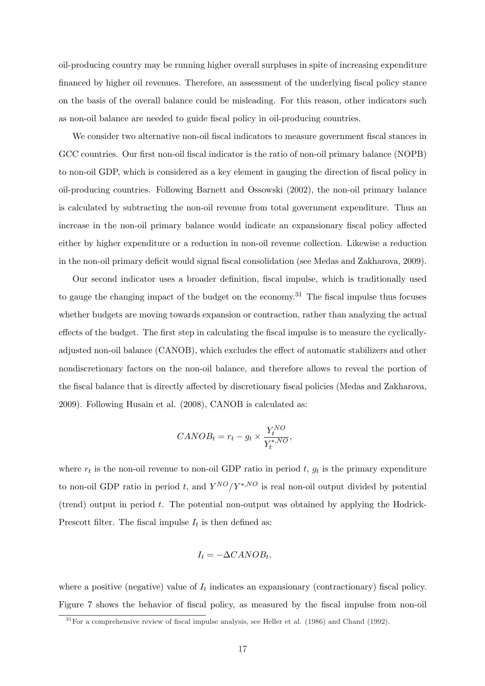oil-producing country may be running higher overall surpluses in spite of increasing expenditure financed by higher oil revenues. Therefore, an assessment of the underlying fiscal policy stance on the basis of the overall balance could be misleading. For this reason, other indicators such as non-oil balance are needed to guide fiscal policy in oil-producing countries.

We consider two alternative non-oil fiscal indicators to measure government fiscal stances in GCC countries. Our first non-oil fiscal indicator is the ratio of non-oil primary balance (NOPB) to non-oil GDP, which is considered as a key element in gauging the direction of fiscal policy in oil-producing countries. Following Barnett and Ossowski (2002), the non-oil primary balance is calculated by subtracting the non-oil revenue from total government expenditure. Thus an increase in the non-oil primary balance would indicate an expansionary fiscal policy affected either by higher expenditure or a reduction in non-oil revenue collection. Likewise a reduction in the non-oil primary deficit would signal fiscal consolidation (see Medas and Zakharova, 2009).

Our second indicator uses a broader definition, fiscal impulse, which is traditionally used to gauge the changing impact of the budget on the economy.<sup>31</sup> The fiscal impulse thus focuses whether budgets are moving towards expansion or contraction, rather than analyzing the actual effects of the budget. The first step in calculating the fiscal impulse is to measure the cyclicallyadjusted non-oil balance (CANOB), which excludes the effect of automatic stabilizers and other nondiscretionary factors on the non-oil balance, and therefore allows to reveal the portion of the fiscal balance that is directly affected by discretionary fiscal policies (Medas and Zakharova, 2009). Following Husain et al. (2008), CANOB is calculated as:

$$
CANOB_t = r_t - g_t \times \frac{Y_t^{NO}}{Y_t^{*,NO}},
$$

where  $r_t$  is the non-oil revenue to non-oil GDP ratio in period t,  $g_t$  is the primary expenditure to non-oil GDP ratio in period t, and  $Y^{NO}/Y^{*,NO}$  is real non-oil output divided by potential (trend) output in period  $t$ . The potential non-output was obtained by applying the Hodrick-Prescott filter. The fiscal impulse  $I_t$  is then defined as:

$$
I_t = -\Delta CANOB_t,
$$

where a positive (negative) value of  $I_t$  indicates an expansionary (contractionary) fiscal policy. Figure 7 shows the behavior of fiscal policy, as measured by the fiscal impulse from non-oil

 $31$  For a comprehensive review of fiscal impulse analysis, see Heller et al. (1986) and Chand (1992).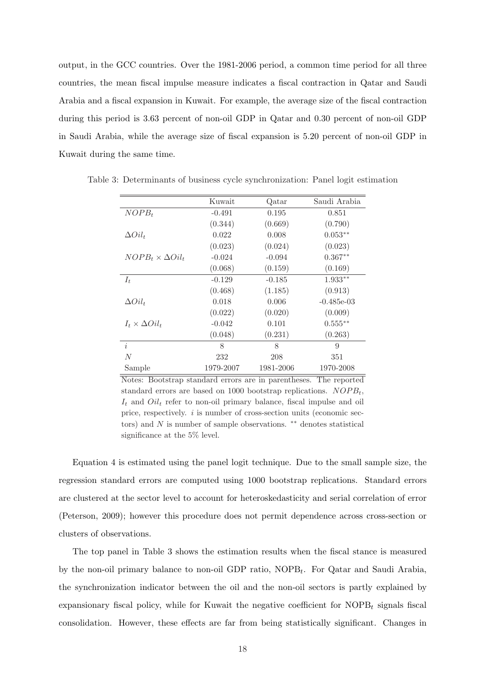output, in the GCC countries. Over the 1981-2006 period, a common time period for all three countries, the mean fiscal impulse measure indicates a fiscal contraction in Qatar and Saudi Arabia and a fiscal expansion in Kuwait. For example, the average size of the fiscal contraction during this period is 3.63 percent of non-oil GDP in Qatar and 0.30 percent of non-oil GDP in Saudi Arabia, while the average size of fiscal expansion is 5.20 percent of non-oil GDP in Kuwait during the same time.

|                              | Kuwait    | Qatar     | Saudi Arabia |
|------------------------------|-----------|-----------|--------------|
| $NOPB_t$                     | $-0.491$  | 0.195     | 0.851        |
|                              | (0.344)   | (0.669)   | (0.790)      |
| $\Delta Oil_t$               | 0.022     | 0.008     | $0.053**$    |
|                              | (0.023)   | (0.024)   | (0.023)      |
| $NOPB_t \times \Delta Oil_t$ | $-0.024$  | $-0.094$  | $0.367**$    |
|                              | (0.068)   | (0.159)   | (0.169)      |
| $I_t$                        | $-0.129$  | $-0.185$  | $1.933**$    |
|                              | (0.468)   | (1.185)   | (0.913)      |
| $\Delta Oil_t$               | 0.018     | 0.006     | $-0.485e-03$ |
|                              | (0.022)   | (0.020)   | (0.009)      |
| $I_t \times \Delta Oil_t$    | $-0.042$  | 0.101     | $0.555***$   |
|                              | (0.048)   | (0.231)   | (0.263)      |
| $\dot{i}$                    | 8         | 8         | 9            |
| N                            | 232       | 208       | 351          |
| Sample                       | 1979-2007 | 1981-2006 | 1970-2008    |

Table 3: Determinants of business cycle synchronization: Panel logit estimation

Notes: Bootstrap standard errors are in parentheses. The reported standard errors are based on 1000 bootstrap replications.  $NOPB_t$ ,  $I_t$  and  $Oil_t$  refer to non-oil primary balance, fiscal impulse and oil price, respectively.  $i$  is number of cross-section units (economic sectors) and  $N$  is number of sample observations.  $**$  denotes statistical significance at the 5% level.

Equation 4 is estimated using the panel logit technique. Due to the small sample size, the regression standard errors are computed using 1000 bootstrap replications. Standard errors are clustered at the sector level to account for heteroskedasticity and serial correlation of error (Peterson, 2009); however this procedure does not permit dependence across cross-section or clusters of observations.

The top panel in Table 3 shows the estimation results when the fiscal stance is measured by the non-oil primary balance to non-oil GDP ratio,  $\text{NOPB}_t$ . For Qatar and Saudi Arabia, the synchronization indicator between the oil and the non-oil sectors is partly explained by expansionary fiscal policy, while for Kuwait the negative coefficient for  $\text{NOPB}_t$  signals fiscal consolidation. However, these effects are far from being statistically significant. Changes in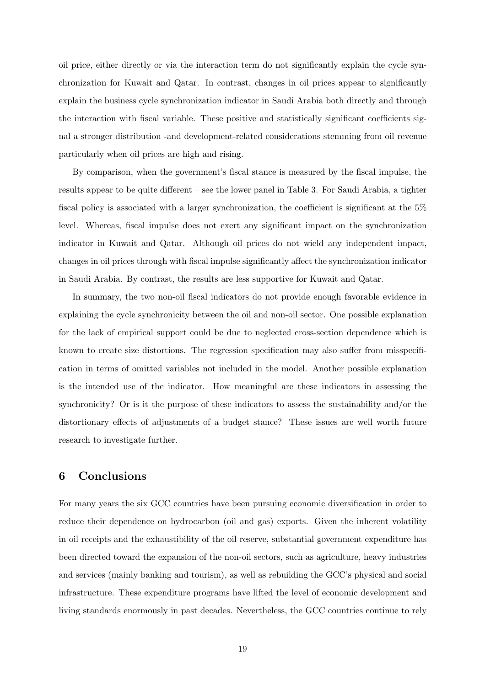oil price, either directly or via the interaction term do not significantly explain the cycle synchronization for Kuwait and Qatar. In contrast, changes in oil prices appear to significantly explain the business cycle synchronization indicator in Saudi Arabia both directly and through the interaction with fiscal variable. These positive and statistically significant coefficients signal a stronger distribution -and development-related considerations stemming from oil revenue particularly when oil prices are high and rising.

By comparison, when the government's fiscal stance is measured by the fiscal impulse, the results appear to be quite different – see the lower panel in Table 3. For Saudi Arabia, a tighter fiscal policy is associated with a larger synchronization, the coefficient is significant at the 5% level. Whereas, fiscal impulse does not exert any significant impact on the synchronization indicator in Kuwait and Qatar. Although oil prices do not wield any independent impact, changes in oil prices through with fiscal impulse significantly affect the synchronization indicator in Saudi Arabia. By contrast, the results are less supportive for Kuwait and Qatar.

In summary, the two non-oil fiscal indicators do not provide enough favorable evidence in explaining the cycle synchronicity between the oil and non-oil sector. One possible explanation for the lack of empirical support could be due to neglected cross-section dependence which is known to create size distortions. The regression specification may also suffer from misspecification in terms of omitted variables not included in the model. Another possible explanation is the intended use of the indicator. How meaningful are these indicators in assessing the synchronicity? Or is it the purpose of these indicators to assess the sustainability and/or the distortionary effects of adjustments of a budget stance? These issues are well worth future research to investigate further.

# 6 Conclusions

For many years the six GCC countries have been pursuing economic diversification in order to reduce their dependence on hydrocarbon (oil and gas) exports. Given the inherent volatility in oil receipts and the exhaustibility of the oil reserve, substantial government expenditure has been directed toward the expansion of the non-oil sectors, such as agriculture, heavy industries and services (mainly banking and tourism), as well as rebuilding the GCC's physical and social infrastructure. These expenditure programs have lifted the level of economic development and living standards enormously in past decades. Nevertheless, the GCC countries continue to rely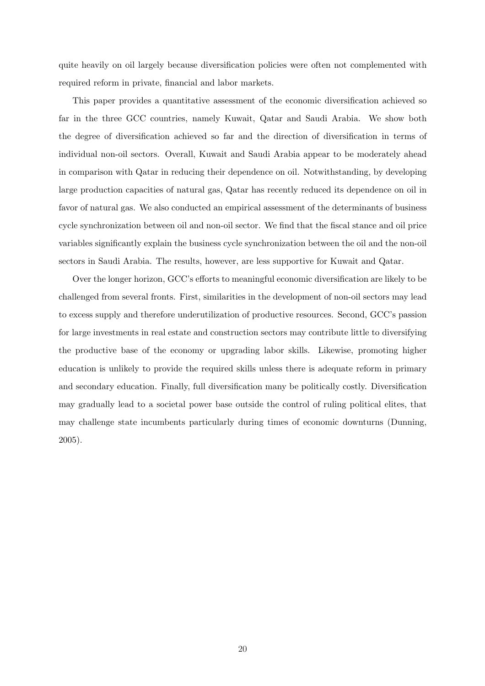quite heavily on oil largely because diversification policies were often not complemented with required reform in private, financial and labor markets.

This paper provides a quantitative assessment of the economic diversification achieved so far in the three GCC countries, namely Kuwait, Qatar and Saudi Arabia. We show both the degree of diversification achieved so far and the direction of diversification in terms of individual non-oil sectors. Overall, Kuwait and Saudi Arabia appear to be moderately ahead in comparison with Qatar in reducing their dependence on oil. Notwithstanding, by developing large production capacities of natural gas, Qatar has recently reduced its dependence on oil in favor of natural gas. We also conducted an empirical assessment of the determinants of business cycle synchronization between oil and non-oil sector. We find that the fiscal stance and oil price variables significantly explain the business cycle synchronization between the oil and the non-oil sectors in Saudi Arabia. The results, however, are less supportive for Kuwait and Qatar.

Over the longer horizon, GCC's efforts to meaningful economic diversification are likely to be challenged from several fronts. First, similarities in the development of non-oil sectors may lead to excess supply and therefore underutilization of productive resources. Second, GCC's passion for large investments in real estate and construction sectors may contribute little to diversifying the productive base of the economy or upgrading labor skills. Likewise, promoting higher education is unlikely to provide the required skills unless there is adequate reform in primary and secondary education. Finally, full diversification many be politically costly. Diversification may gradually lead to a societal power base outside the control of ruling political elites, that may challenge state incumbents particularly during times of economic downturns (Dunning, 2005).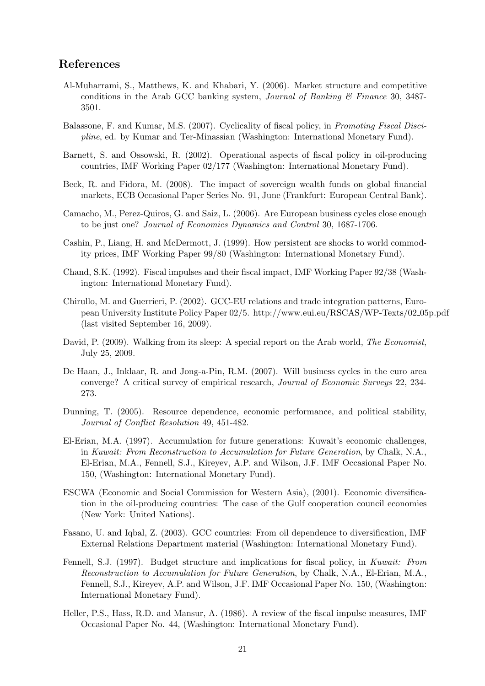# References

- Al-Muharrami, S., Matthews, K. and Khabari, Y. (2006). Market structure and competitive conditions in the Arab GCC banking system, *Journal of Banking*  $\mathcal{C}$  Finance 30, 3487-3501.
- Balassone, F. and Kumar, M.S. (2007). Cyclicality of fiscal policy, in Promoting Fiscal Discipline, ed. by Kumar and Ter-Minassian (Washington: International Monetary Fund).
- Barnett, S. and Ossowski, R. (2002). Operational aspects of fiscal policy in oil-producing countries, IMF Working Paper 02/177 (Washington: International Monetary Fund).
- Beck, R. and Fidora, M. (2008). The impact of sovereign wealth funds on global financial markets, ECB Occasional Paper Series No. 91, June (Frankfurt: European Central Bank).
- Camacho, M., Perez-Quiros, G. and Saiz, L. (2006). Are European business cycles close enough to be just one? Journal of Economics Dynamics and Control 30, 1687-1706.
- Cashin, P., Liang, H. and McDermott, J. (1999). How persistent are shocks to world commodity prices, IMF Working Paper 99/80 (Washington: International Monetary Fund).
- Chand, S.K. (1992). Fiscal impulses and their fiscal impact, IMF Working Paper 92/38 (Washington: International Monetary Fund).
- Chirullo, M. and Guerrieri, P. (2002). GCC-EU relations and trade integration patterns, European University Institute Policy Paper 02/5. http://www.eui.eu/RSCAS/WP-Texts/02 05p.pdf (last visited September 16, 2009).
- David, P. (2009). Walking from its sleep: A special report on the Arab world, The Economist, July 25, 2009.
- De Haan, J., Inklaar, R. and Jong-a-Pin, R.M. (2007). Will business cycles in the euro area converge? A critical survey of empirical research, Journal of Economic Surveys 22, 234- 273.
- Dunning, T. (2005). Resource dependence, economic performance, and political stability, Journal of Conflict Resolution 49, 451-482.
- El-Erian, M.A. (1997). Accumulation for future generations: Kuwait's economic challenges, in Kuwait: From Reconstruction to Accumulation for Future Generation, by Chalk, N.A., El-Erian, M.A., Fennell, S.J., Kireyev, A.P. and Wilson, J.F. IMF Occasional Paper No. 150, (Washington: International Monetary Fund).
- ESCWA (Economic and Social Commission for Western Asia), (2001). Economic diversification in the oil-producing countries: The case of the Gulf cooperation council economies (New York: United Nations).
- Fasano, U. and Iqbal, Z. (2003). GCC countries: From oil dependence to diversification, IMF External Relations Department material (Washington: International Monetary Fund).
- Fennell, S.J. (1997). Budget structure and implications for fiscal policy, in Kuwait: From Reconstruction to Accumulation for Future Generation, by Chalk, N.A., El-Erian, M.A., Fennell, S.J., Kireyev, A.P. and Wilson, J.F. IMF Occasional Paper No. 150, (Washington: International Monetary Fund).
- Heller, P.S., Hass, R.D. and Mansur, A. (1986). A review of the fiscal impulse measures, IMF Occasional Paper No. 44, (Washington: International Monetary Fund).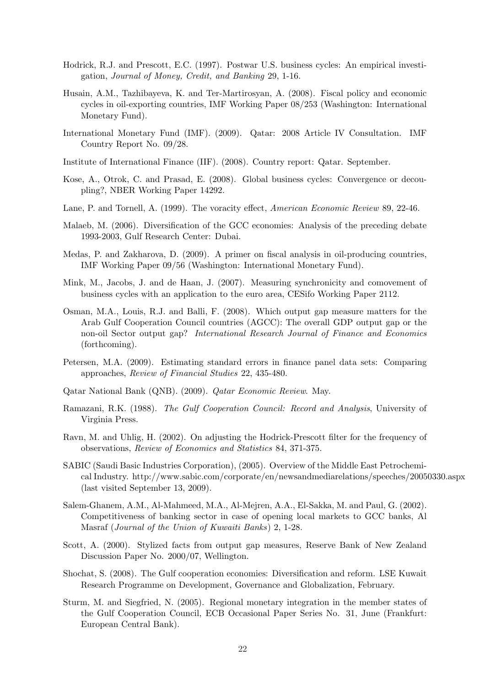- Hodrick, R.J. and Prescott, E.C. (1997). Postwar U.S. business cycles: An empirical investigation, Journal of Money, Credit, and Banking 29, 1-16.
- Husain, A.M., Tazhibayeva, K. and Ter-Martirosyan, A. (2008). Fiscal policy and economic cycles in oil-exporting countries, IMF Working Paper 08/253 (Washington: International Monetary Fund).
- International Monetary Fund (IMF). (2009). Qatar: 2008 Article IV Consultation. IMF Country Report No. 09/28.
- Institute of International Finance (IIF). (2008). Country report: Qatar. September.
- Kose, A., Otrok, C. and Prasad, E. (2008). Global business cycles: Convergence or decoupling?, NBER Working Paper 14292.
- Lane, P. and Tornell, A. (1999). The voracity effect, American Economic Review 89, 22-46.
- Malaeb, M. (2006). Diversification of the GCC economies: Analysis of the preceding debate 1993-2003, Gulf Research Center: Dubai.
- Medas, P. and Zakharova, D. (2009). A primer on fiscal analysis in oil-producing countries, IMF Working Paper 09/56 (Washington: International Monetary Fund).
- Mink, M., Jacobs, J. and de Haan, J. (2007). Measuring synchronicity and comovement of business cycles with an application to the euro area, CESifo Working Paper 2112.
- Osman, M.A., Louis, R.J. and Balli, F. (2008). Which output gap measure matters for the Arab Gulf Cooperation Council countries (AGCC): The overall GDP output gap or the non-oil Sector output gap? International Research Journal of Finance and Economics (forthcoming).
- Petersen, M.A. (2009). Estimating standard errors in finance panel data sets: Comparing approaches, Review of Financial Studies 22, 435-480.
- Qatar National Bank (QNB). (2009). Qatar Economic Review. May.
- Ramazani, R.K. (1988). The Gulf Cooperation Council: Record and Analysis, University of Virginia Press.
- Ravn, M. and Uhlig, H. (2002). On adjusting the Hodrick-Prescott filter for the frequency of observations, Review of Economics and Statistics 84, 371-375.
- SABIC (Saudi Basic Industries Corporation), (2005). Overview of the Middle East Petrochemical Industry. http://www.sabic.com/corporate/en/newsandmediarelations/speeches/20050330.aspx (last visited September 13, 2009).
- Salem-Ghanem, A.M., Al-Mahmeed, M.A., Al-Mejren, A.A., El-Sakka, M. and Paul, G. (2002). Competitiveness of banking sector in case of opening local markets to GCC banks, Al Masraf (Journal of the Union of Kuwaiti Banks) 2, 1-28.
- Scott, A. (2000). Stylized facts from output gap measures, Reserve Bank of New Zealand Discussion Paper No. 2000/07, Wellington.
- Shochat, S. (2008). The Gulf cooperation economies: Diversification and reform. LSE Kuwait Research Programme on Development, Governance and Globalization, February.
- Sturm, M. and Siegfried, N. (2005). Regional monetary integration in the member states of the Gulf Cooperation Council, ECB Occasional Paper Series No. 31, June (Frankfurt: European Central Bank).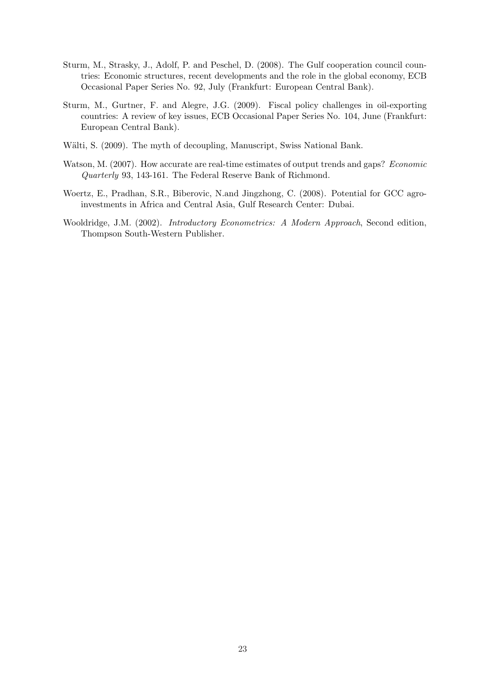- Sturm, M., Strasky, J., Adolf, P. and Peschel, D. (2008). The Gulf cooperation council countries: Economic structures, recent developments and the role in the global economy, ECB Occasional Paper Series No. 92, July (Frankfurt: European Central Bank).
- Sturm, M., Gurtner, F. and Alegre, J.G. (2009). Fiscal policy challenges in oil-exporting countries: A review of key issues, ECB Occasional Paper Series No. 104, June (Frankfurt: European Central Bank).
- Wälti, S. (2009). The myth of decoupling, Manuscript, Swiss National Bank.
- Watson, M. (2007). How accurate are real-time estimates of output trends and gaps? *Economic* Quarterly 93, 143-161. The Federal Reserve Bank of Richmond.
- Woertz, E., Pradhan, S.R., Biberovic, N.and Jingzhong, C. (2008). Potential for GCC agroinvestments in Africa and Central Asia, Gulf Research Center: Dubai.
- Wooldridge, J.M. (2002). Introductory Econometrics: A Modern Approach, Second edition, Thompson South-Western Publisher.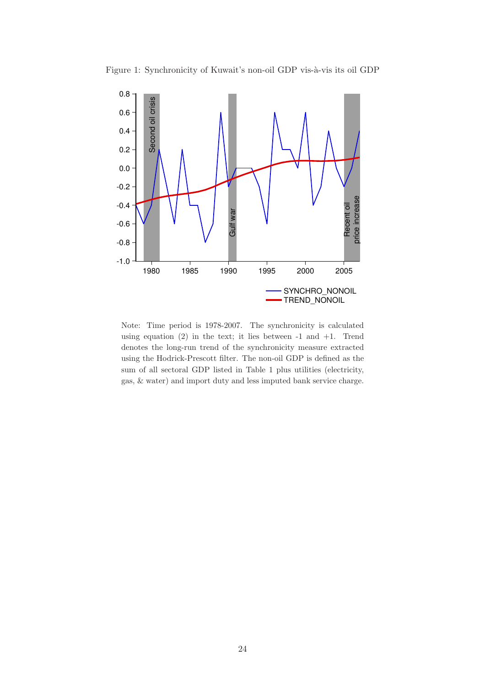

Figure 1: Synchronicity of Kuwait's non-oil GDP vis-à-vis its oil GDP

Note: Time period is 1978-2007. The synchronicity is calculated using equation  $(2)$  in the text; it lies between  $-1$  and  $+1$ . Trend denotes the long-run trend of the synchronicity measure extracted using the Hodrick-Prescott filter. The non-oil GDP is defined as the sum of all sectoral GDP listed in Table 1 plus utilities (electricity, gas, & water) and import duty and less imputed bank service charge.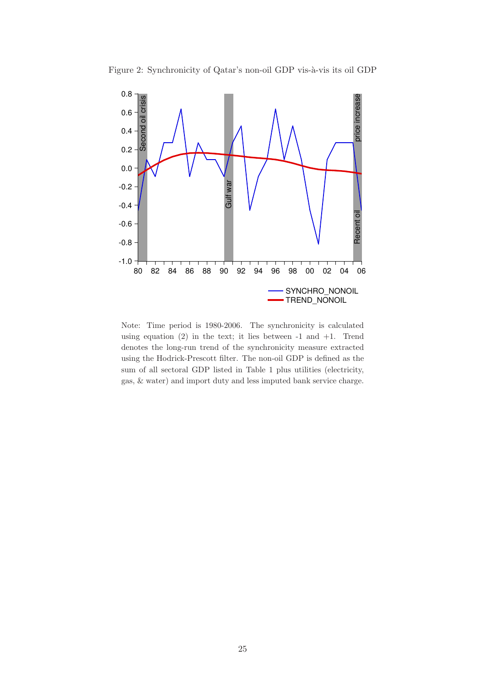



Note: Time period is 1980-2006. The synchronicity is calculated using equation  $(2)$  in the text; it lies between  $-1$  and  $+1$ . Trend denotes the long-run trend of the synchronicity measure extracted using the Hodrick-Prescott filter. The non-oil GDP is defined as the sum of all sectoral GDP listed in Table 1 plus utilities (electricity, gas, & water) and import duty and less imputed bank service charge.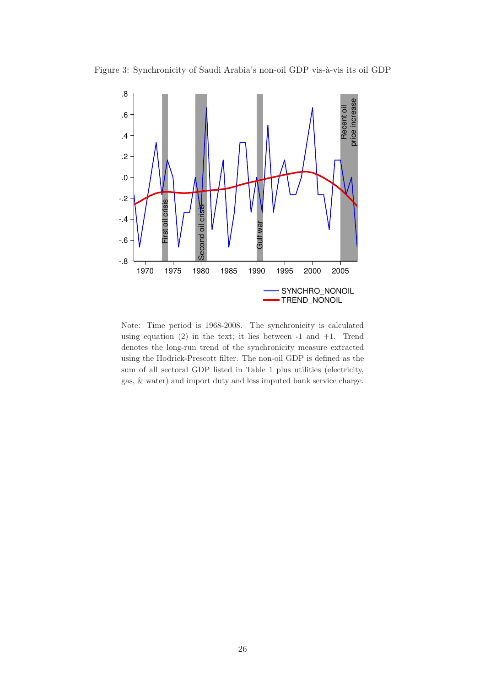



Note: Time period is 1968-2008. The synchronicity is calculated using equation  $(2)$  in the text; it lies between  $-1$  and  $+1$ . Trend denotes the long-run trend of the synchronicity measure extracted using the Hodrick-Prescott filter. The non-oil GDP is defined as the sum of all sectoral GDP listed in Table 1 plus utilities (electricity, gas, & water) and import duty and less imputed bank service charge.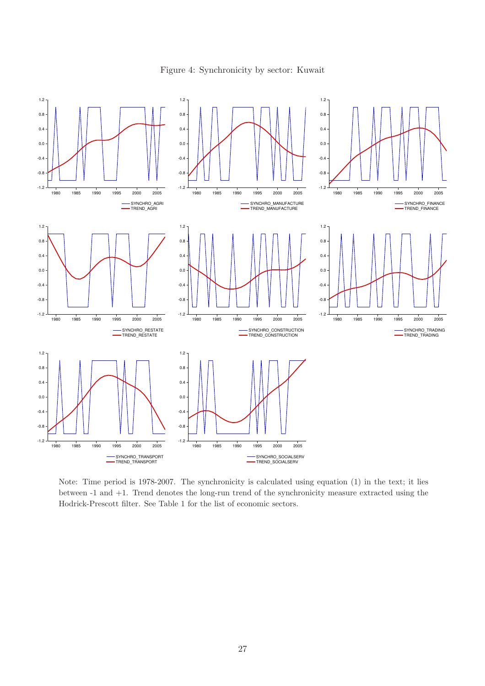1.2 1.2 1.2 0.8 0.8 0.8 0.4 0.4 0.4  $0.0$ 0.0 0.0 -0.4 -0.4 -0.4 -0.8  $-0.8$ -0.8 -1.2 -1.2 -1.2 1980 1985 1990 1995 2000 2005 1980 1985 1990 1995 2000 2005 1980 1985 1990 1995 2000 2005 SYNCHRO\_AGRI TREND\_AGRI SYNCHRO\_MANUFACTURE TREND\_MANUFACTURE SYNCHRO\_FINANCE TREND\_FINANCE Ξ 1.2 1.2 1.2  $0.8$ 0.8 0.8 0.4 0.4 0.4 0.0 0.0 0.0 -0.4 -0.4 -0.4  $-0.8$ -0.8 -0.8 -1.2 -1.2 -1.2 1980 1985 1990 1995 2000 2005 1980 1985 1990 1995 2000 2005 1980 1985 1990 1995 2000 2005 SYNCHRO\_RESTATE TREND\_RESTATE SYNCHRO\_CONSTRUCTION TREND\_CONSTRUCTION SYNCHRO\_TRADING TREND\_TRADING 1.2 1.2 0.8 0.8 0.4 0.4 0.0 0.0 -0.4 -0.4 -0.8 -0.8 -1.2 -1.2 1980 1985 1990 1995 2000 2005 1980 1985 1990 1995 2000 2005 SYNCHRO\_SOCIALSERV SYNCHRO\_TRANSPORT TREND\_TRANSPORT TREND\_SOCIALSERV

Figure 4: Synchronicity by sector: Kuwait

Note: Time period is 1978-2007. The synchronicity is calculated using equation (1) in the text; it lies between -1 and +1. Trend denotes the long-run trend of the synchronicity measure extracted using the Hodrick-Prescott filter. See Table 1 for the list of economic sectors.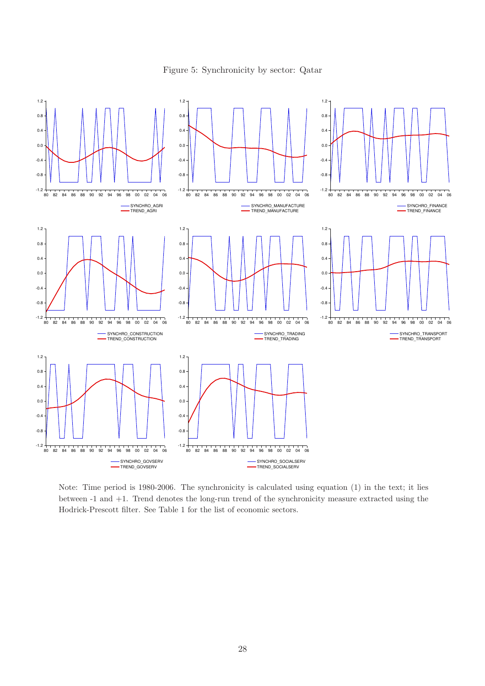Figure 5: Synchronicity by sector: Qatar



Note: Time period is 1980-2006. The synchronicity is calculated using equation (1) in the text; it lies between -1 and +1. Trend denotes the long-run trend of the synchronicity measure extracted using the Hodrick-Prescott filter. See Table 1 for the list of economic sectors.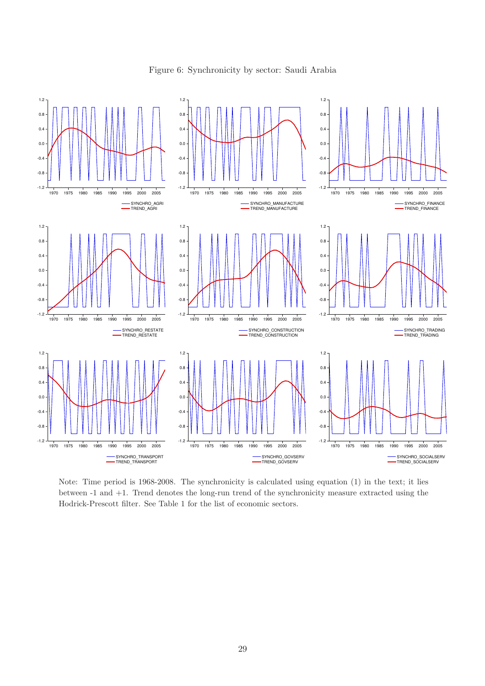

Figure 6: Synchronicity by sector: Saudi Arabia

Note: Time period is 1968-2008. The synchronicity is calculated using equation (1) in the text; it lies between -1 and +1. Trend denotes the long-run trend of the synchronicity measure extracted using the Hodrick-Prescott filter. See Table 1 for the list of economic sectors.